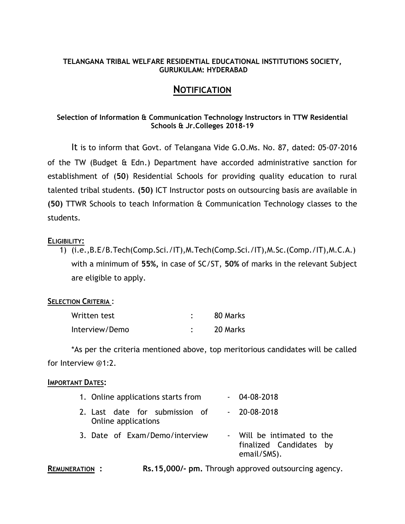#### **TELANGANA TRIBAL WELFARE RESIDENTIAL EDUCATIONAL INSTITUTIONS SOCIETY, GURUKULAM: HYDERABAD**

# **NOTIFICATION**

## **Selection of Information & Communication Technology Instructors in TTW Residential Schools & Jr.Colleges 2018-19**

It is to inform that Govt. of Telangana Vide G.O.Ms. No. 87, dated: 05-07-2016 of the TW (Budget & Edn.) Department have accorded administrative sanction for establishment of (**50**) Residential Schools for providing quality education to rural talented tribal students. **(50)** ICT Instructor posts on outsourcing basis are available in **(50)** TTWR Schools to teach Information & Communication Technology classes to the students.

## **ELIGIBILITY:**

1) (i.e.,B.E/B.Tech(Comp.Sci./IT),M.Tech(Comp.Sci./IT),M.Sc.(Comp./IT),M.C.A.) with a minimum of **55%,** in case of SC/ST, **50%** of marks in the relevant Subject are eligible to apply.

## **SELECTION CRITERIA** :

| Written test   | 80 Marks |
|----------------|----------|
| Interview/Demo | 20 Marks |

\*As per the criteria mentioned above, top meritorious candidates will be called for Interview @1:2.

#### **IMPORTANT DATES:**

| 1. Online applications starts from                    | $-04 - 08 - 2018$                                                    |
|-------------------------------------------------------|----------------------------------------------------------------------|
| 2. Last date for submission of<br>Online applications | $-20-08-2018$                                                        |
| 3. Date of Exam/Demo/interview                        | - Will be intimated to the<br>finalized Candidates by<br>email/SMS). |

**REMUNERATION : Rs.15,000/- pm.** Through approved outsourcing agency.